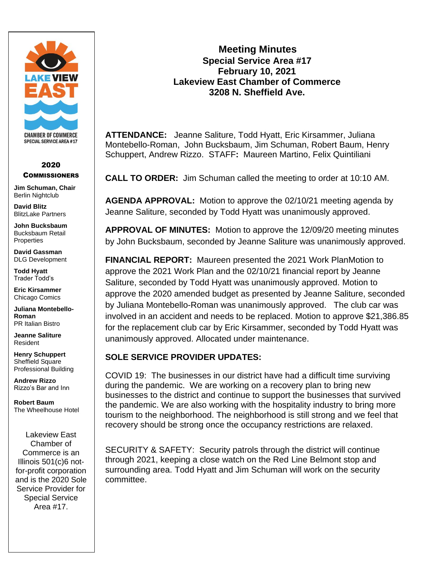

#### 2020 **COMMISSIONERS**

**Jim Schuman, Chair** Berlin Nightclub

**David Blitz** BlitzLake Partners

**John Bucksbaum** Bucksbaum Retail **Properties** 

**David Gassman** DLG Development

**Todd Hyatt** Trader Todd's

**Eric Kirsammer** Chicago Comics

**Juliana Montebello-Roman** PR Italian Bistro

**Jeanne Saliture** Resident

**Henry Schuppert** Sheffield Square Professional Building

**Andrew Rizzo** Rizzo's Bar and Inn

**Robert Baum** The Wheelhouse Hotel

Lakeview East Chamber of Commerce is an Illinois 501(c)6 notfor-profit corporation and is the 2020 Sole Service Provider for Special Service Area #17.

# **Meeting Minutes Special Service Area #17 February 10, 2021 Lakeview East Chamber of Commerce 3208 N. Sheffield Ave.**

**ATTENDANCE:** Jeanne Saliture, Todd Hyatt, Eric Kirsammer, Juliana Montebello-Roman, John Bucksbaum, Jim Schuman, Robert Baum, Henry Schuppert, Andrew Rizzo. STAFF**:** Maureen Martino, Felix Quintiliani

**CALL TO ORDER:** Jim Schuman called the meeting to order at 10:10 AM.

**AGENDA APPROVAL:** Motion to approve the 02/10/21 meeting agenda by Jeanne Saliture, seconded by Todd Hyatt was unanimously approved.

**APPROVAL OF MINUTES:** Motion to approve the 12/09/20 meeting minutes by John Bucksbaum, seconded by Jeanne Saliture was unanimously approved.

**FINANCIAL REPORT:** Maureen presented the 2021 Work PlanMotion to approve the 2021 Work Plan and the 02/10/21 financial report by Jeanne Saliture, seconded by Todd Hyatt was unanimously approved. Motion to approve the 2020 amended budget as presented by Jeanne Saliture, seconded by Juliana Montebello-Roman was unanimously approved. The club car was involved in an accident and needs to be replaced. Motion to approve \$21,386.85 for the replacement club car by Eric Kirsammer, seconded by Todd Hyatt was unanimously approved. Allocated under maintenance.

## **SOLE SERVICE PROVIDER UPDATES:**

COVID 19: The businesses in our district have had a difficult time surviving during the pandemic. We are working on a recovery plan to bring new businesses to the district and continue to support the businesses that survived the pandemic. We are also working with the hospitality industry to bring more tourism to the neighborhood. The neighborhood is still strong and we feel that recovery should be strong once the occupancy restrictions are relaxed.

SECURITY & SAFETY: Security patrols through the district will continue through 2021, keeping a close watch on the Red Line Belmont stop and surrounding area. Todd Hyatt and Jim Schuman will work on the security committee.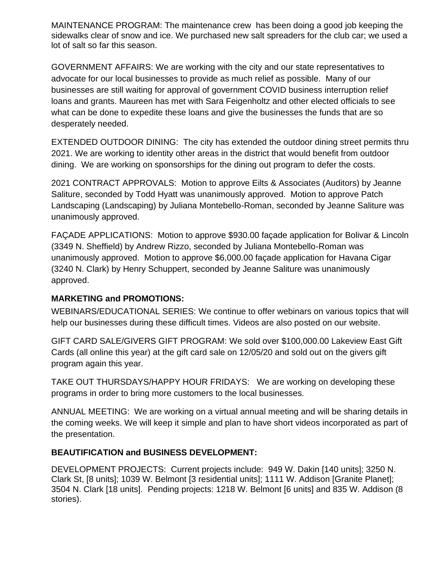MAINTENANCE PROGRAM: The maintenance crew has been doing a good job keeping the sidewalks clear of snow and ice. We purchased new salt spreaders for the club car; we used a lot of salt so far this season.

GOVERNMENT AFFAIRS: We are working with the city and our state representatives to advocate for our local businesses to provide as much relief as possible. Many of our businesses are still waiting for approval of government COVID business interruption relief loans and grants. Maureen has met with Sara Feigenholtz and other elected officials to see what can be done to expedite these loans and give the businesses the funds that are so desperately needed.

EXTENDED OUTDOOR DINING: The city has extended the outdoor dining street permits thru 2021. We are working to identity other areas in the district that would benefit from outdoor dining. We are working on sponsorships for the dining out program to defer the costs.

2021 CONTRACT APPROVALS: Motion to approve Eilts & Associates (Auditors) by Jeanne Saliture, seconded by Todd Hyatt was unanimously approved. Motion to approve Patch Landscaping (Landscaping) by Juliana Montebello-Roman, seconded by Jeanne Saliture was unanimously approved.

FAÇADE APPLICATIONS: Motion to approve \$930.00 façade application for Bolivar & Lincoln (3349 N. Sheffield) by Andrew Rizzo, seconded by Juliana Montebello-Roman was unanimously approved. Motion to approve \$6,000.00 façade application for Havana Cigar (3240 N. Clark) by Henry Schuppert, seconded by Jeanne Saliture was unanimously approved.

## **MARKETING and PROMOTIONS:**

WEBINARS/EDUCATIONAL SERIES: We continue to offer webinars on various topics that will help our businesses during these difficult times. Videos are also posted on our website.

GIFT CARD SALE/GIVERS GIFT PROGRAM: We sold over \$100,000.00 Lakeview East Gift Cards (all online this year) at the gift card sale on 12/05/20 and sold out on the givers gift program again this year.

TAKE OUT THURSDAYS/HAPPY HOUR FRIDAYS: We are working on developing these programs in order to bring more customers to the local businesses.

ANNUAL MEETING: We are working on a virtual annual meeting and will be sharing details in the coming weeks. We will keep it simple and plan to have short videos incorporated as part of the presentation.

#### **BEAUTIFICATION and BUSINESS DEVELOPMENT:**

DEVELOPMENT PROJECTS: Current projects include: 949 W. Dakin [140 units]; 3250 N. Clark St, [8 units]; 1039 W. Belmont [3 residential units]; 1111 W. Addison [Granite Planet]; 3504 N. Clark [18 units]. Pending projects: 1218 W. Belmont [6 units] and 835 W. Addison (8 stories).